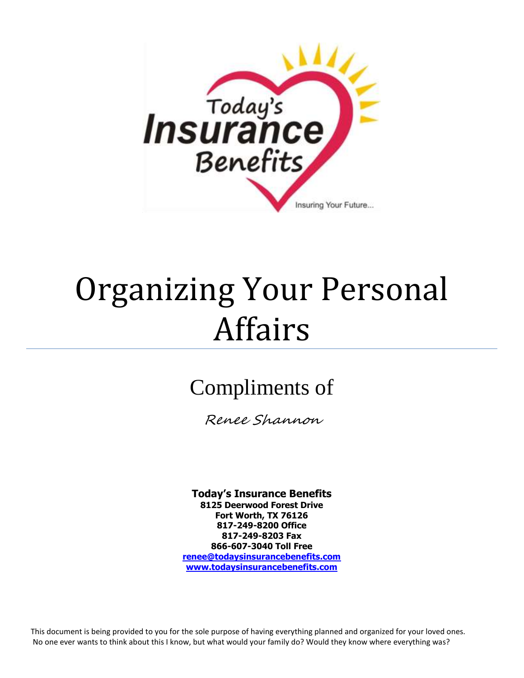

# Organizing Your Personal Affairs

## Compliments of

Renee Shannon

**Today's Insurance Benefits 8125 Deerwood Forest Drive Fort Worth, TX 76126 817-249-8200 Office 817-249-8203 Fax 866-607-3040 Toll Free [renee@todaysinsurancebenefits.com](mailto:renee@fullserviceinsuranceoftexas.com) <www.todaysinsurancebenefits.com>**

This document is being provided to you for the sole purpose of having everything planned and organized for your loved ones. No one ever wants to think about this I know, but what would your family do? Would they know where everything was?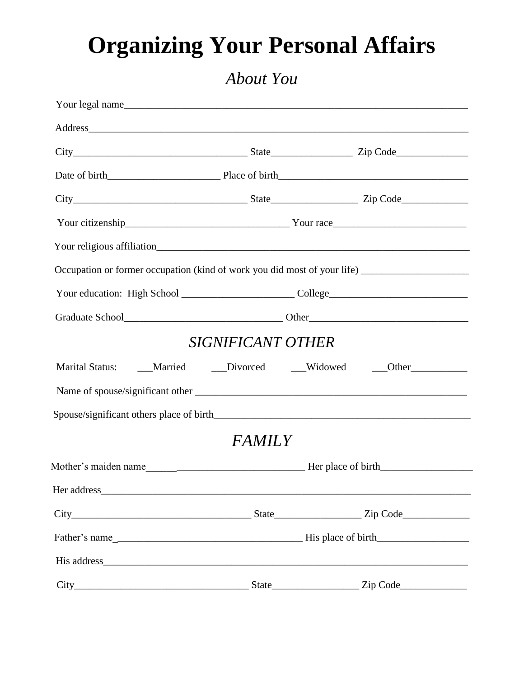## **Organizing Your Personal Affairs**

#### *About You*

|                   | Your legal name                                                                                                                                                                                                                |
|-------------------|--------------------------------------------------------------------------------------------------------------------------------------------------------------------------------------------------------------------------------|
|                   | Address and the contract of the contract of the contract of the contract of the contract of the contract of the contract of the contract of the contract of the contract of the contract of the contract of the contract of th |
|                   |                                                                                                                                                                                                                                |
|                   |                                                                                                                                                                                                                                |
|                   |                                                                                                                                                                                                                                |
|                   |                                                                                                                                                                                                                                |
|                   |                                                                                                                                                                                                                                |
|                   | Occupation or former occupation (kind of work you did most of your life) __________________________                                                                                                                            |
|                   |                                                                                                                                                                                                                                |
|                   |                                                                                                                                                                                                                                |
| SIGNIFICANT OTHER |                                                                                                                                                                                                                                |
|                   | Marital Status: ____Married ____Divorced ____Widowed ____Other_____________                                                                                                                                                    |
|                   |                                                                                                                                                                                                                                |
|                   |                                                                                                                                                                                                                                |
| <b>FAMILY</b>     |                                                                                                                                                                                                                                |
|                   |                                                                                                                                                                                                                                |
|                   |                                                                                                                                                                                                                                |
|                   |                                                                                                                                                                                                                                |
|                   |                                                                                                                                                                                                                                |
|                   |                                                                                                                                                                                                                                |
|                   | Zip Code                                                                                                                                                                                                                       |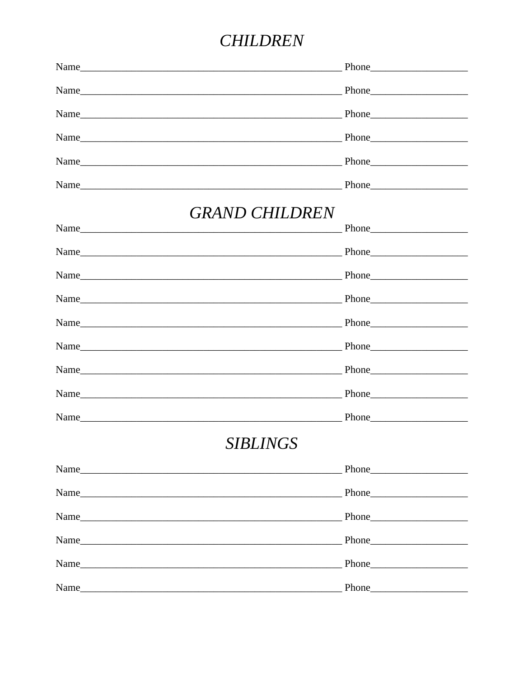#### **CHILDREN**

| <b>GRAND CHILDREN</b> |
|-----------------------|
|                       |
|                       |
|                       |
|                       |
|                       |
|                       |
|                       |
|                       |
|                       |
| <b>SIBLINGS</b>       |
|                       |
|                       |
|                       |
| Phone Phone           |
|                       |
|                       |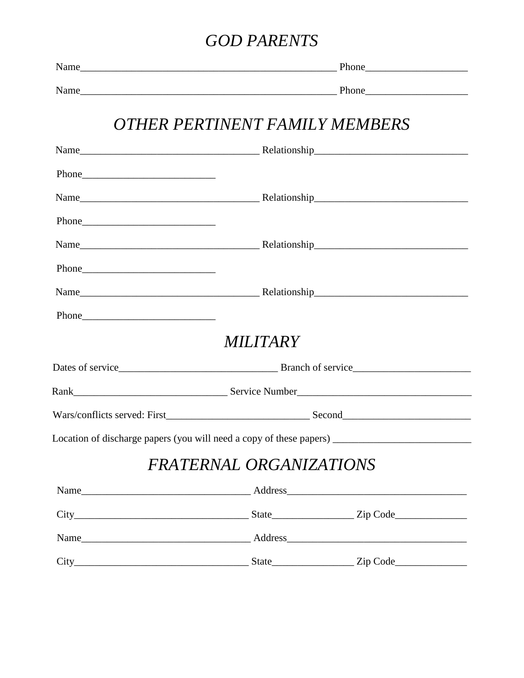#### **GOD PARENTS**

|             | OTHER PERTINENT FAMILY MEMBERS                                                    |  |
|-------------|-----------------------------------------------------------------------------------|--|
|             |                                                                                   |  |
|             |                                                                                   |  |
|             |                                                                                   |  |
| Phone       |                                                                                   |  |
|             |                                                                                   |  |
|             |                                                                                   |  |
|             |                                                                                   |  |
| Phone Phone |                                                                                   |  |
|             | <i>MILITARY</i>                                                                   |  |
|             |                                                                                   |  |
|             |                                                                                   |  |
|             |                                                                                   |  |
|             | Location of discharge papers (you will need a copy of these papers) _____________ |  |
|             | FRATERNAL ORGANIZATIONS                                                           |  |
|             |                                                                                   |  |
|             |                                                                                   |  |
|             |                                                                                   |  |
|             |                                                                                   |  |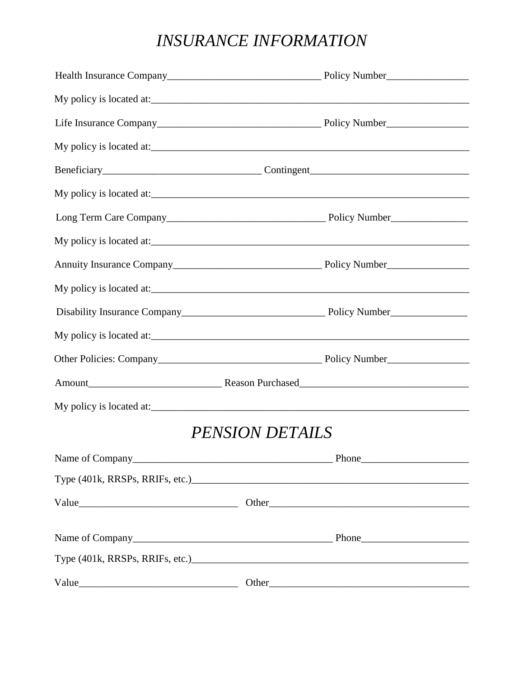#### **INSURANCE INFORMATION**

| My policy is located at: |
|--------------------------|
|                          |
| My policy is located at: |
|                          |
|                          |
|                          |
| My policy is located at: |
|                          |
| My policy is located at: |
|                          |
|                          |
|                          |
| Amount Reason Purchased  |
|                          |
| <b>PENSION DETAILS</b>   |
|                          |
|                          |
|                          |
|                          |
|                          |
|                          |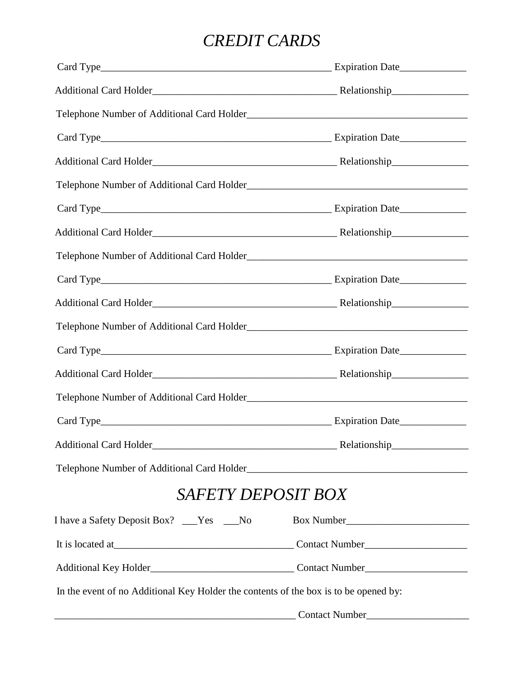#### *CREDIT CARDS*

| <b>SAFETY DEPOSIT BOX</b>                                                            |  |
|--------------------------------------------------------------------------------------|--|
| I have a Safety Deposit Box? ___Yes ___No                                            |  |
|                                                                                      |  |
|                                                                                      |  |
| In the event of no Additional Key Holder the contents of the box is to be opened by: |  |
| Contact Number                                                                       |  |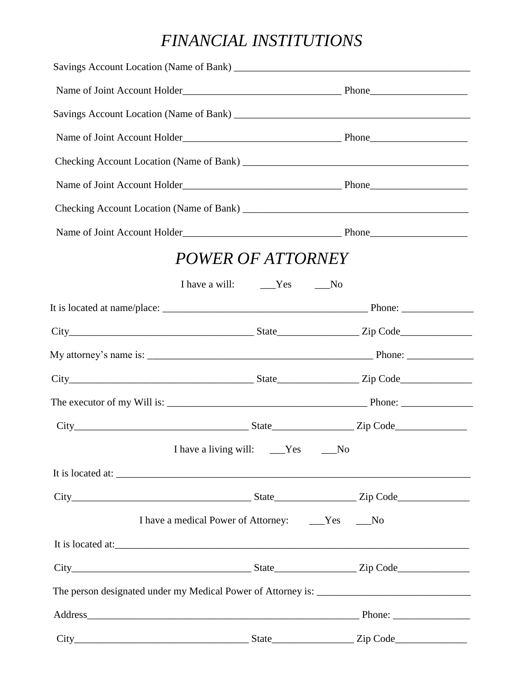#### *FINANCIAL INSTITUTIONS*

|                   | POWER OF ATTORNEY                                   |  |
|-------------------|-----------------------------------------------------|--|
|                   |                                                     |  |
|                   |                                                     |  |
|                   |                                                     |  |
|                   |                                                     |  |
|                   |                                                     |  |
|                   |                                                     |  |
|                   |                                                     |  |
|                   | I have a living will: ____Yes ____No                |  |
|                   |                                                     |  |
|                   |                                                     |  |
|                   | I have a medical Power of Attorney: _____Yes ____No |  |
| It is located at: |                                                     |  |
|                   |                                                     |  |
|                   |                                                     |  |
|                   |                                                     |  |
|                   |                                                     |  |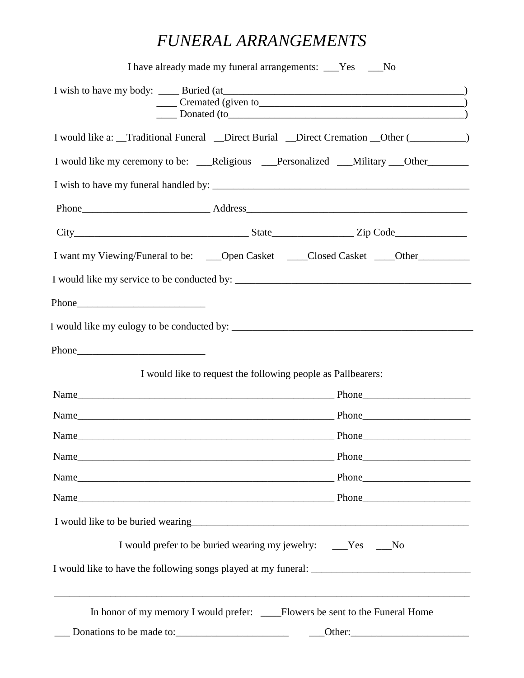#### *FUNERAL ARRANGEMENTS*

| I would like to request the following people as Pallbearers: | I would like a: _Traditional Funeral _Direct Burial _Direct Cremation _Other (________)<br>I would like my ceremony to be: ___Religious ___Personalized ___Military ___Other_________<br>I want my Viewing/Funeral to be: ____Open Casket _____Closed Casket ____Other_______________________ |
|--------------------------------------------------------------|-----------------------------------------------------------------------------------------------------------------------------------------------------------------------------------------------------------------------------------------------------------------------------------------------|
|                                                              |                                                                                                                                                                                                                                                                                               |
|                                                              |                                                                                                                                                                                                                                                                                               |
|                                                              |                                                                                                                                                                                                                                                                                               |
|                                                              |                                                                                                                                                                                                                                                                                               |
|                                                              |                                                                                                                                                                                                                                                                                               |
|                                                              |                                                                                                                                                                                                                                                                                               |
|                                                              |                                                                                                                                                                                                                                                                                               |
|                                                              |                                                                                                                                                                                                                                                                                               |
|                                                              |                                                                                                                                                                                                                                                                                               |
|                                                              |                                                                                                                                                                                                                                                                                               |
|                                                              |                                                                                                                                                                                                                                                                                               |
|                                                              |                                                                                                                                                                                                                                                                                               |
|                                                              |                                                                                                                                                                                                                                                                                               |
|                                                              |                                                                                                                                                                                                                                                                                               |
|                                                              |                                                                                                                                                                                                                                                                                               |
|                                                              |                                                                                                                                                                                                                                                                                               |
|                                                              |                                                                                                                                                                                                                                                                                               |
|                                                              |                                                                                                                                                                                                                                                                                               |
|                                                              | I would prefer to be buried wearing my jewelry: ___Yes ___No                                                                                                                                                                                                                                  |
|                                                              |                                                                                                                                                                                                                                                                                               |
|                                                              | In honor of my memory I would prefer: _____Flowers be sent to the Funeral Home                                                                                                                                                                                                                |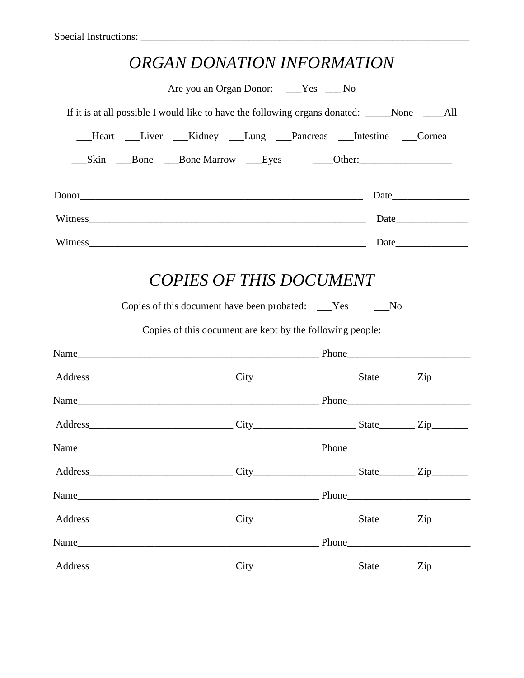| ORGAN DONATION INFORMATION                                                                    |  |  |
|-----------------------------------------------------------------------------------------------|--|--|
| Are you an Organ Donor: ___Yes ___ No                                                         |  |  |
| If it is at all possible I would like to have the following organs donated: _____None ____All |  |  |
| __Heart __Liver __Kidney __Lung __Pancreas __Intestine __Cornea                               |  |  |
|                                                                                               |  |  |
|                                                                                               |  |  |
| Witness                                                                                       |  |  |
| Witness                                                                                       |  |  |
| Copies of this document are kept by the following people:                                     |  |  |
|                                                                                               |  |  |
|                                                                                               |  |  |
|                                                                                               |  |  |
|                                                                                               |  |  |
|                                                                                               |  |  |
|                                                                                               |  |  |
|                                                                                               |  |  |
|                                                                                               |  |  |
|                                                                                               |  |  |
|                                                                                               |  |  |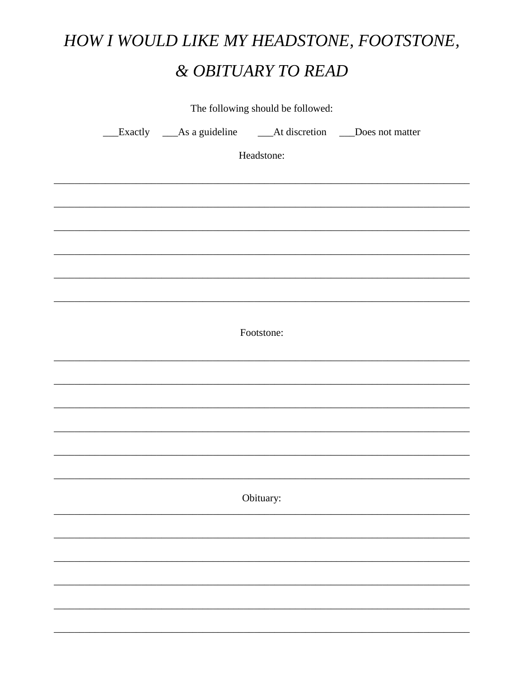## HOW I WOULD LIKE MY HEADSTONE, FOOTSTONE, & OBITUARY TO READ

|                                                               | The following should be followed: |  |
|---------------------------------------------------------------|-----------------------------------|--|
| __Exactly __As a guideline ___At discretion __Does not matter |                                   |  |
|                                                               | Headstone:                        |  |
|                                                               |                                   |  |
|                                                               |                                   |  |
|                                                               |                                   |  |
|                                                               |                                   |  |
|                                                               |                                   |  |
|                                                               |                                   |  |
|                                                               |                                   |  |
|                                                               | Footstone:                        |  |
|                                                               |                                   |  |
|                                                               |                                   |  |
|                                                               |                                   |  |
|                                                               |                                   |  |
|                                                               |                                   |  |
|                                                               |                                   |  |
|                                                               | Obituary:                         |  |
|                                                               |                                   |  |
|                                                               |                                   |  |
|                                                               |                                   |  |
|                                                               |                                   |  |
|                                                               |                                   |  |
|                                                               |                                   |  |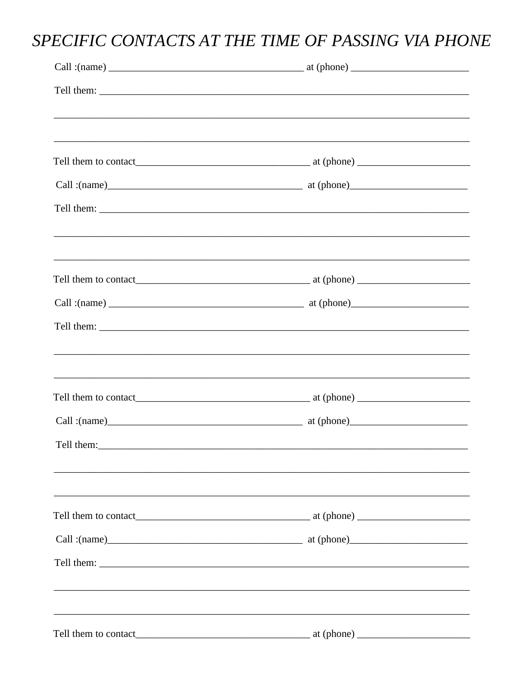### SPECIFIC CONTACTS AT THE TIME OF PASSING VIA PHONE

|                                                                                                                                                                                                                                | Call: $(name)$ $(x)$ |  |
|--------------------------------------------------------------------------------------------------------------------------------------------------------------------------------------------------------------------------------|----------------------|--|
|                                                                                                                                                                                                                                |                      |  |
|                                                                                                                                                                                                                                |                      |  |
|                                                                                                                                                                                                                                |                      |  |
| Tell them: The contract of the contract of the contract of the contract of the contract of the contract of the contract of the contract of the contract of the contract of the contract of the contract of the contract of the |                      |  |
|                                                                                                                                                                                                                                |                      |  |
|                                                                                                                                                                                                                                |                      |  |
|                                                                                                                                                                                                                                |                      |  |
|                                                                                                                                                                                                                                |                      |  |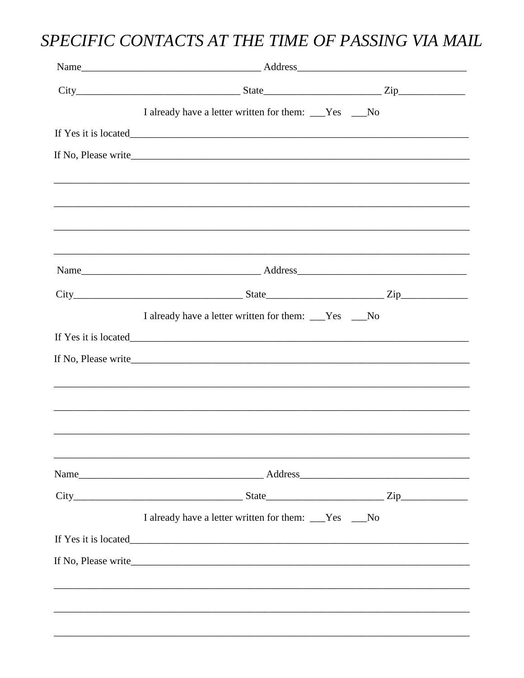### SPECIFIC CONTACTS AT THE TIME OF PASSING VIA MAIL

| $City$ $City$ $Zip$ $Step$ $Zip$                                                 |  |
|----------------------------------------------------------------------------------|--|
| I already have a letter written for them: ___Yes ___No                           |  |
|                                                                                  |  |
| If No, Please write                                                              |  |
|                                                                                  |  |
| ,我们也不能会在这里,我们的人们就会在这里,我们也不会在这里,我们也不会在这里,我们也不会在这里,我们也不会在这里,我们也不会在这里,我们也不会在这里,我们也不 |  |
|                                                                                  |  |
|                                                                                  |  |
|                                                                                  |  |
| $City$ $Zip$ $Zip$ $Iip$ $Iip$ $Iip$                                             |  |
| I already have a letter written for them: ___Yes ___No                           |  |
|                                                                                  |  |
| If No, Please write                                                              |  |
|                                                                                  |  |
|                                                                                  |  |
|                                                                                  |  |
|                                                                                  |  |
|                                                                                  |  |
| $City$ $Zip$ $Zip$ $Iip$ $Iip$ $Iip$                                             |  |
| I already have a letter written for them: ___Yes ___No                           |  |
|                                                                                  |  |
| If No, Please write                                                              |  |
|                                                                                  |  |
|                                                                                  |  |
|                                                                                  |  |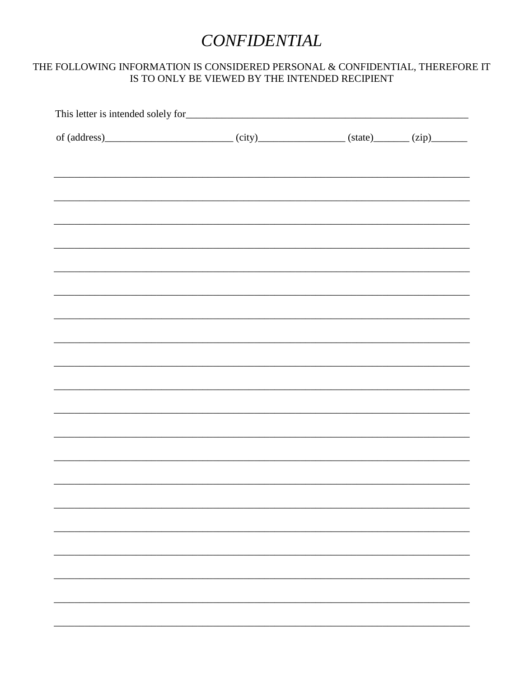#### **CONFIDENTIAL**

#### THE FOLLOWING INFORMATION IS CONSIDERED PERSONAL  $\&$  CONFIDENTIAL, THEREFORE IT IS TO ONLY BE VIEWED BY THE INTENDED RECIPIENT

| of $(address)$ (city) $(city)$ (state) $(zip)$ (zip)                                                                                                  |  |
|-------------------------------------------------------------------------------------------------------------------------------------------------------|--|
|                                                                                                                                                       |  |
|                                                                                                                                                       |  |
| ,我们也不能在这里的时候,我们也不能在这里的时候,我们也不能不能不能不能不能不能不能不能不能不能不能不能不能不能不能。""我们的是,我们也不能不能不能不能不能不能                                                                     |  |
|                                                                                                                                                       |  |
|                                                                                                                                                       |  |
|                                                                                                                                                       |  |
|                                                                                                                                                       |  |
| ,我们也不能在这里的时候,我们也不能在这里的时候,我们也不能在这里的时候,我们也不能会不能会不能会不能会不能会不能会不能会不能会。<br>第2012章 我们的时候,我们的时候,我们的时候,我们的时候,我们的时候,我们的时候,我们的时候,我们的时候,我们的时候,我们的时候,我们的时候,我们的时候,我 |  |
|                                                                                                                                                       |  |
|                                                                                                                                                       |  |
|                                                                                                                                                       |  |
|                                                                                                                                                       |  |
|                                                                                                                                                       |  |
|                                                                                                                                                       |  |
|                                                                                                                                                       |  |
|                                                                                                                                                       |  |
|                                                                                                                                                       |  |
|                                                                                                                                                       |  |
|                                                                                                                                                       |  |
|                                                                                                                                                       |  |
|                                                                                                                                                       |  |
|                                                                                                                                                       |  |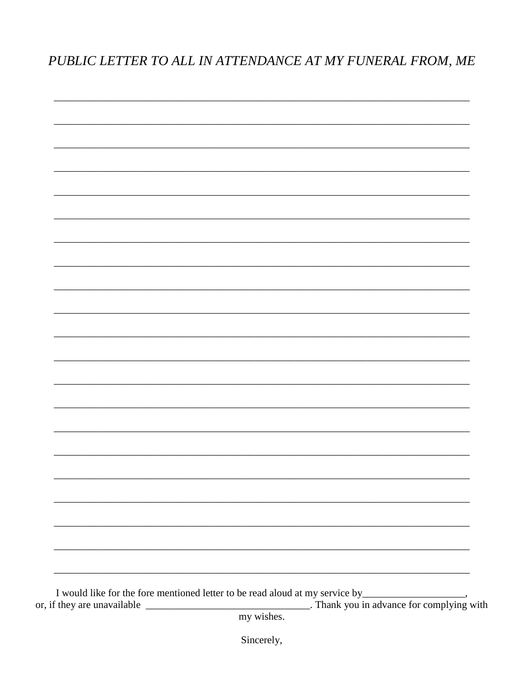PUBLIC LETTER TO ALL IN ATTENDANCE AT MY FUNERAL FROM, ME



my wishes.

Sincerely,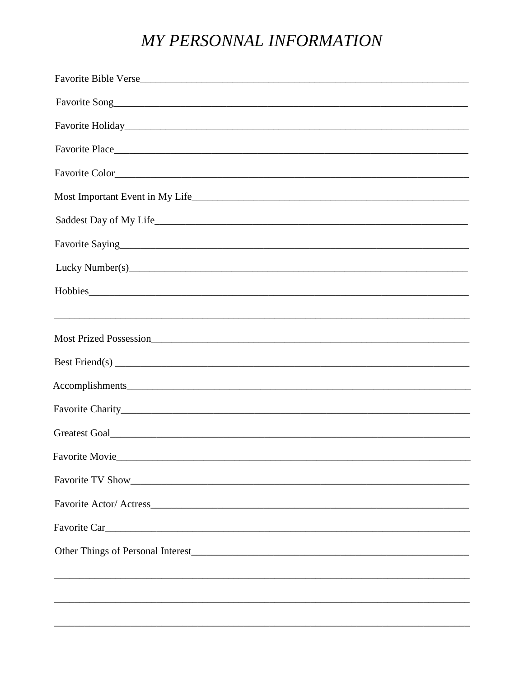#### MY PERSONNAL INFORMATION

| Favorite Holiday                                                                                                                                                                                                              |
|-------------------------------------------------------------------------------------------------------------------------------------------------------------------------------------------------------------------------------|
|                                                                                                                                                                                                                               |
|                                                                                                                                                                                                                               |
|                                                                                                                                                                                                                               |
|                                                                                                                                                                                                                               |
|                                                                                                                                                                                                                               |
| Lucky Number(s) expansion and the contract of the contract of the contract of the contract of the contract of the contract of the contract of the contract of the contract of the contract of the contract of the contract of |
| Hobbies                                                                                                                                                                                                                       |
|                                                                                                                                                                                                                               |
|                                                                                                                                                                                                                               |
|                                                                                                                                                                                                                               |
|                                                                                                                                                                                                                               |
|                                                                                                                                                                                                                               |
|                                                                                                                                                                                                                               |
| Favorite Movie_______<br><u> 2000 - Jan Barat, prima de la contrada de la contrada de la contrada de la contrada de la contrada de la con</u>                                                                                 |
|                                                                                                                                                                                                                               |
|                                                                                                                                                                                                                               |
|                                                                                                                                                                                                                               |
|                                                                                                                                                                                                                               |
|                                                                                                                                                                                                                               |
|                                                                                                                                                                                                                               |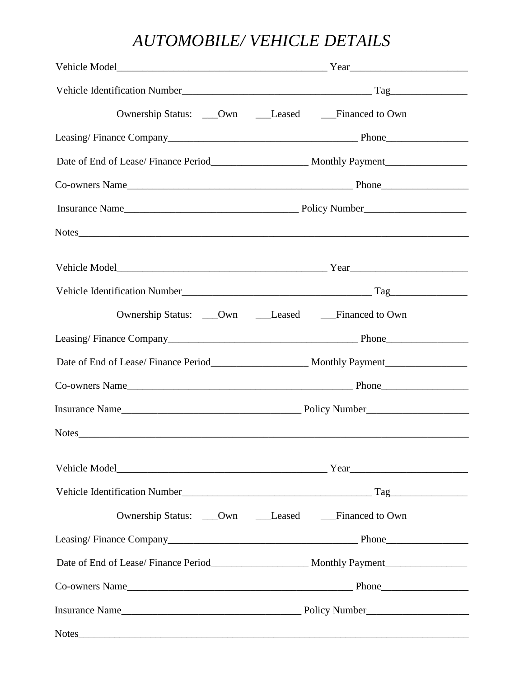#### *AUTOMOBILE/ VEHICLE DETAILS*

| Ownership Status: ___Own ____Leased ____Financed to Own                                                        |
|----------------------------------------------------------------------------------------------------------------|
|                                                                                                                |
|                                                                                                                |
|                                                                                                                |
|                                                                                                                |
| Notes                                                                                                          |
|                                                                                                                |
|                                                                                                                |
| Ownership Status: ___Own ____Leased ____Financed to Own                                                        |
|                                                                                                                |
|                                                                                                                |
|                                                                                                                |
|                                                                                                                |
|                                                                                                                |
|                                                                                                                |
|                                                                                                                |
| Ownership Status: ___Own ____Leased ____Financed to Own                                                        |
|                                                                                                                |
| Date of End of Lease/Finance Period_________________________ Monthly Payment__________________________________ |
|                                                                                                                |
|                                                                                                                |
|                                                                                                                |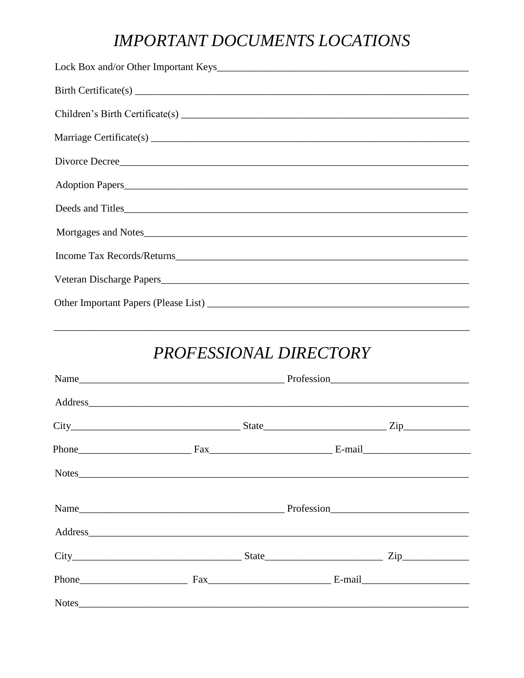#### **IMPORTANT DOCUMENTS LOCATIONS**

| Divorce Decree   |
|------------------|
| Adoption Papers  |
| Deeds and Titles |
|                  |
|                  |
|                  |
|                  |

#### PROFESSIONAL DIRECTORY

| $City$ $City$ $Zip$ $Step$ $Zip$ |  |  |
|----------------------------------|--|--|
|                                  |  |  |
| Notes                            |  |  |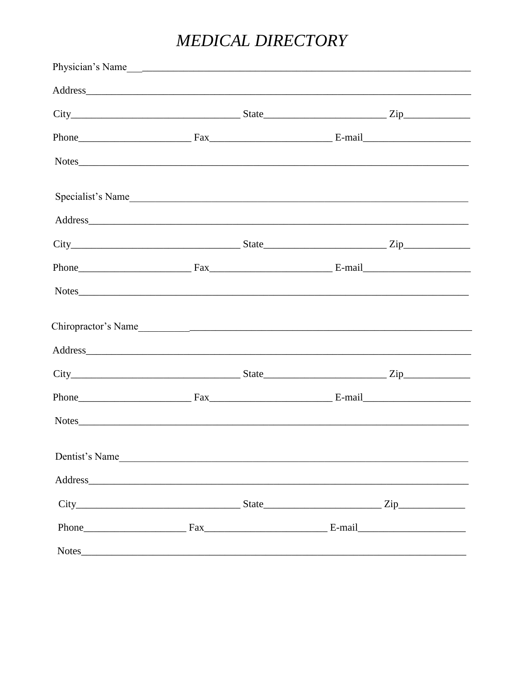### MEDICAL DIRECTORY

| Physician's Name    |  |  |
|---------------------|--|--|
|                     |  |  |
|                     |  |  |
|                     |  |  |
| Notes               |  |  |
| Specialist's Name   |  |  |
| Address             |  |  |
|                     |  |  |
|                     |  |  |
|                     |  |  |
|                     |  |  |
|                     |  |  |
|                     |  |  |
|                     |  |  |
|                     |  |  |
| Dentist's Name      |  |  |
|                     |  |  |
| $City$ $City$ $Zip$ |  |  |
|                     |  |  |
|                     |  |  |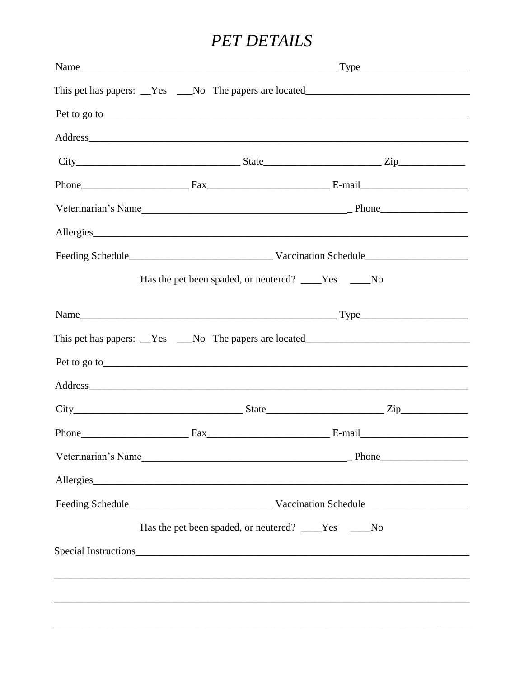#### **PET DETAILS**

|                                                                                                                                                                                                                                |  | This pet has papers: <u>Yes</u> No The papers are located |  |  |  |
|--------------------------------------------------------------------------------------------------------------------------------------------------------------------------------------------------------------------------------|--|-----------------------------------------------------------|--|--|--|
|                                                                                                                                                                                                                                |  |                                                           |  |  |  |
| Address and the contract of the contract of the contract of the contract of the contract of the contract of the contract of the contract of the contract of the contract of the contract of the contract of the contract of th |  |                                                           |  |  |  |
|                                                                                                                                                                                                                                |  |                                                           |  |  |  |
|                                                                                                                                                                                                                                |  |                                                           |  |  |  |
|                                                                                                                                                                                                                                |  |                                                           |  |  |  |
| Allergies                                                                                                                                                                                                                      |  |                                                           |  |  |  |
|                                                                                                                                                                                                                                |  |                                                           |  |  |  |
|                                                                                                                                                                                                                                |  | Has the pet been spaded, or neutered? ____Yes ____No      |  |  |  |
|                                                                                                                                                                                                                                |  |                                                           |  |  |  |
| This pet has papers: __Yes ___No The papers are located__________________________                                                                                                                                              |  |                                                           |  |  |  |
| Pet to go to see that the same state of the same state of the same state of the same state of the same state of the same state of the same state of the same state of the same state of the same state of the same state of th |  |                                                           |  |  |  |
| Address and the contract of the contract of the contract of the contract of the contract of the contract of the contract of the contract of the contract of the contract of the contract of the contract of the contract of th |  |                                                           |  |  |  |
|                                                                                                                                                                                                                                |  |                                                           |  |  |  |
| Phone Fax Fax Fax E-mail                                                                                                                                                                                                       |  |                                                           |  |  |  |
|                                                                                                                                                                                                                                |  |                                                           |  |  |  |
| Allergies                                                                                                                                                                                                                      |  |                                                           |  |  |  |
|                                                                                                                                                                                                                                |  |                                                           |  |  |  |
|                                                                                                                                                                                                                                |  | Has the pet been spaded, or neutered? ____Yes ____No      |  |  |  |
|                                                                                                                                                                                                                                |  |                                                           |  |  |  |
|                                                                                                                                                                                                                                |  |                                                           |  |  |  |
|                                                                                                                                                                                                                                |  |                                                           |  |  |  |
|                                                                                                                                                                                                                                |  |                                                           |  |  |  |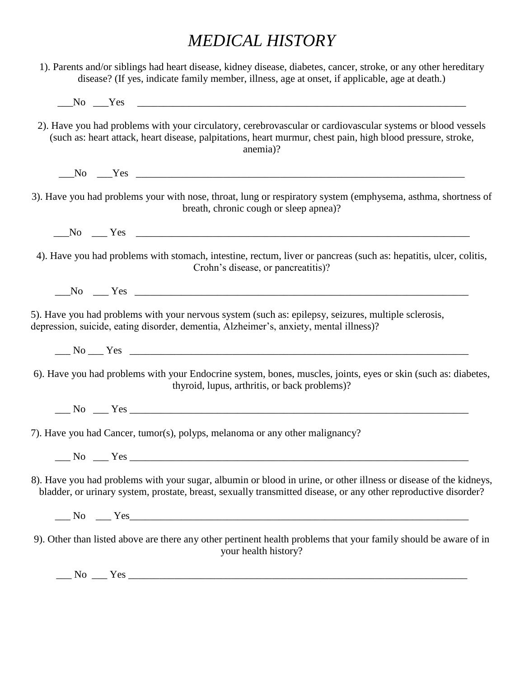#### *MEDICAL HISTORY*

1). Parents and/or siblings had heart disease, kidney disease, diabetes, cancer, stroke, or any other hereditary disease? (If yes, indicate family member, illness, age at onset, if applicable, age at death.)  $\Box$  No  $\Box$  Yes  $\Box$ 

- 2). Have you had problems with your circulatory, cerebrovascular or cardiovascular systems or blood vessels (such as: heart attack, heart disease, palpitations, heart murmur, chest pain, high blood pressure, stroke, anemia)?
	- \_\_\_No \_\_\_Yes \_\_\_\_\_\_\_\_\_\_\_\_\_\_\_\_\_\_\_\_\_\_\_\_\_\_\_\_\_\_\_\_\_\_\_\_\_\_\_\_\_\_\_\_\_\_\_\_\_\_\_\_\_\_\_\_\_\_\_\_\_\_\_\_
- 3). Have you had problems your with nose, throat, lung or respiratory system (emphysema, asthma, shortness of breath, chronic cough or sleep apnea)?
	- No Yes  $\overline{Y}$
- 4). Have you had problems with stomach, intestine, rectum, liver or pancreas (such as: hepatitis, ulcer, colitis, Crohn's disease, or pancreatitis)?
	- \_\_\_No \_\_\_ Yes \_\_\_\_\_\_\_\_\_\_\_\_\_\_\_\_\_\_\_\_\_\_\_\_\_\_\_\_\_\_\_\_\_\_\_\_\_\_\_\_\_\_\_\_\_\_\_\_\_\_\_\_\_\_\_\_\_\_\_\_\_\_\_\_\_
- 5). Have you had problems with your nervous system (such as: epilepsy, seizures, multiple sclerosis, depression, suicide, eating disorder, dementia, Alzheimer's, anxiety, mental illness)?
	- \_\_\_ No \_\_\_ Yes \_\_\_\_\_\_\_\_\_\_\_\_\_\_\_\_\_\_\_\_\_\_\_\_\_\_\_\_\_\_\_\_\_\_\_\_\_\_\_\_\_\_\_\_\_\_\_\_\_\_\_\_\_\_\_\_\_\_\_\_\_\_\_\_\_\_
- 6). Have you had problems with your Endocrine system, bones, muscles, joints, eyes or skin (such as: diabetes, thyroid, lupus, arthritis, or back problems)?
	- \_\_\_ No \_\_\_ Yes \_\_\_\_\_\_\_\_\_\_\_\_\_\_\_\_\_\_\_\_\_\_\_\_\_\_\_\_\_\_\_\_\_\_\_\_\_\_\_\_\_\_\_\_\_\_\_\_\_\_\_\_\_\_\_\_\_\_\_\_\_\_\_\_\_\_
- 7). Have you had Cancer, tumor(s), polyps, melanoma or any other malignancy?
	- No Yes
- 8). Have you had problems with your sugar, albumin or blood in urine, or other illness or disease of the kidneys, bladder, or urinary system, prostate, breast, sexually transmitted disease, or any other reproductive disorder?
	- No Yes
- 9). Other than listed above are there any other pertinent health problems that your family should be aware of in your health history?

 $\Box$  No  $\Box$  Yes  $\Box$